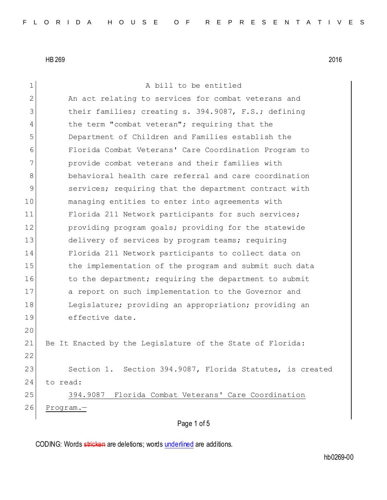| $\mathbf 1$  | A bill to be entitled                                     |
|--------------|-----------------------------------------------------------|
| $\mathbf{2}$ | An act relating to services for combat veterans and       |
| 3            | their families; creating s. 394.9087, F.S.; defining      |
| 4            | the term "combat veteran"; requiring that the             |
| 5            | Department of Children and Families establish the         |
| 6            | Florida Combat Veterans' Care Coordination Program to     |
| 7            | provide combat veterans and their families with           |
| 8            | behavioral health care referral and care coordination     |
| 9            | services; requiring that the department contract with     |
| 10           | managing entities to enter into agreements with           |
| 11           | Florida 211 Network participants for such services;       |
| 12           | providing program goals; providing for the statewide      |
| 13           | delivery of services by program teams; requiring          |
| 14           | Florida 211 Network participants to collect data on       |
| 15           | the implementation of the program and submit such data    |
| 16           | to the department; requiring the department to submit     |
| 17           | a report on such implementation to the Governor and       |
| 18           | Legislature; providing an appropriation; providing an     |
| 19           | effective date.                                           |
| 20           |                                                           |
| 21           | Be It Enacted by the Legislature of the State of Florida: |
| 22           |                                                           |
| 23           | Section 1. Section 394.9087, Florida Statutes, is created |
| 24           | to read:                                                  |
| 25           | 394.9087 Florida Combat Veterans' Care Coordination       |
| 26           | $Program. -$                                              |
|              | Page 1 of 5                                               |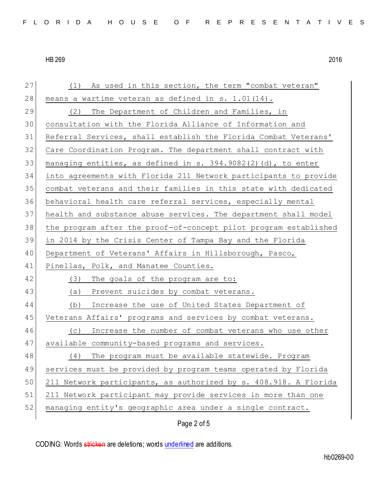| 27 | As used in this section, the term "combat veteran"<br>(1)        |
|----|------------------------------------------------------------------|
| 28 | means a wartime veteran as defined in s. 1.01(14).               |
| 29 | The Department of Children and Families, in<br>(2)               |
| 30 | consultation with the Florida Alliance of Information and        |
| 31 | Referral Services, shall establish the Florida Combat Veterans'  |
| 32 | Care Coordination Program. The department shall contract with    |
| 33 | managing entities, as defined in s. 394.9082(2)(d), to enter     |
| 34 | into agreements with Florida 211 Network participants to provide |
| 35 | combat veterans and their families in this state with dedicated  |
| 36 | behavioral health care referral services, especially mental      |
| 37 | health and substance abuse services. The department shall model  |
| 38 | the program after the proof-of-concept pilot program established |
| 39 | in 2014 by the Crisis Center of Tampa Bay and the Florida        |
| 40 | Department of Veterans' Affairs in Hillsborough, Pasco,          |
| 41 | Pinellas, Polk, and Manatee Counties.                            |
| 42 | (3)<br>The goals of the program are to:                          |
| 43 | Prevent suicides by combat veterans.<br>(a)                      |
| 44 | Increase the use of United States Department of<br>(b)           |
| 45 | Veterans Affairs' programs and services by combat veterans.      |
| 46 | Increase the number of combat veterans who use other<br>(C)      |
| 47 | available community-based programs and services.                 |
| 48 | (4)<br>The program must be available statewide. Program          |
| 49 | services must be provided by program teams operated by Florida   |
| 50 | 211 Network participants, as authorized by s. 408.918. A Florida |
| 51 | 211 Network participant may provide services in more than one    |
| 52 | managing entity's geographic area under a single contract.       |
|    | Page 2 of 5                                                      |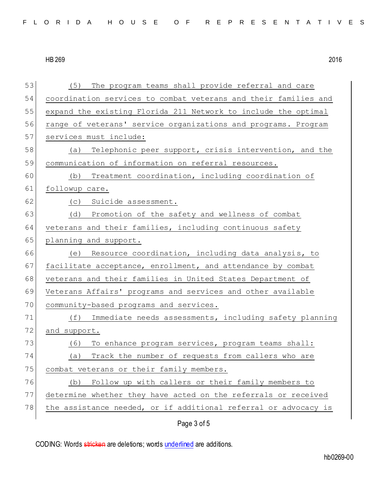| 53 | The program teams shall provide referral and care<br>(5)        |
|----|-----------------------------------------------------------------|
| 54 | coordination services to combat veterans and their families and |
| 55 | expand the existing Florida 211 Network to include the optimal  |
| 56 | range of veterans' service organizations and programs. Program  |
| 57 | services must include:                                          |
| 58 | (a) Telephonic peer support, crisis intervention, and the       |
| 59 | communication of information on referral resources.             |
| 60 | Treatment coordination, including coordination of<br>(b)        |
| 61 | followup care.                                                  |
| 62 | (c) Suicide assessment.                                         |
| 63 | (d) Promotion of the safety and wellness of combat              |
| 64 | veterans and their families, including continuous safety        |
| 65 | planning and support.                                           |
| 66 | (e) Resource coordination, including data analysis, to          |
| 67 | facilitate acceptance, enrollment, and attendance by combat     |
| 68 | veterans and their families in United States Department of      |
| 69 | Veterans Affairs' programs and services and other available     |
| 70 | community-based programs and services.                          |
| 71 | Immediate needs assessments, including safety planning<br>(f)   |
| 72 | and support.                                                    |
| 73 | To enhance program services, program teams shall:<br>(6)        |
| 74 | Track the number of requests from callers who are<br>(a)        |
| 75 | combat veterans or their family members.                        |
| 76 | Follow up with callers or their family members to<br>(b)        |
| 77 | determine whether they have acted on the referrals or received  |
| 78 | the assistance needed, or if additional referral or advocacy is |
|    | Page 3 of 5                                                     |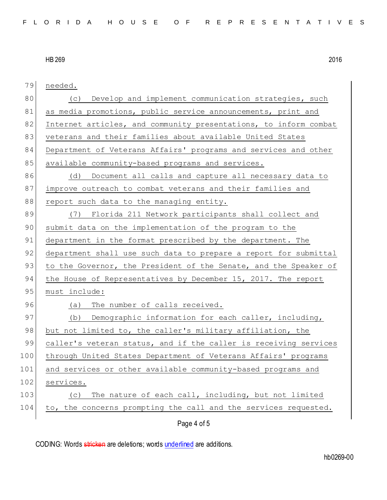| 79  | needed.                                                          |
|-----|------------------------------------------------------------------|
| 80  | Develop and implement communication strategies, such<br>(C)      |
| 81  | as media promotions, public service announcements, print and     |
| 82  | Internet articles, and community presentations, to inform combat |
| 83  | veterans and their families about available United States        |
| 84  | Department of Veterans Affairs' programs and services and other  |
| 85  | available community-based programs and services.                 |
| 86  | (d) Document all calls and capture all necessary data to         |
| 87  | improve outreach to combat veterans and their families and       |
| 88  | report such data to the managing entity.                         |
| 89  | (7) Florida 211 Network participants shall collect and           |
| 90  | submit data on the implementation of the program to the          |
| 91  | department in the format prescribed by the department. The       |
| 92  | department shall use such data to prepare a report for submittal |
| 93  | to the Governor, the President of the Senate, and the Speaker of |
| 94  | the House of Representatives by December 15, 2017. The report    |
| 95  | must include:                                                    |
| 96  | (a)<br>The number of calls received.                             |
| 97  | (b) Demographic information for each caller, including,          |
| 98  | but not limited to, the caller's military affiliation, the       |
| 99  | caller's veteran status, and if the caller is receiving services |
| 100 | through United States Department of Veterans Affairs' programs   |
| 101 | and services or other available community-based programs and     |
| 102 | services.                                                        |
| 103 | The nature of each call, including, but not limited<br>(C)       |
| 104 | to, the concerns prompting the call and the services requested.  |
|     | Page 4 of 5                                                      |